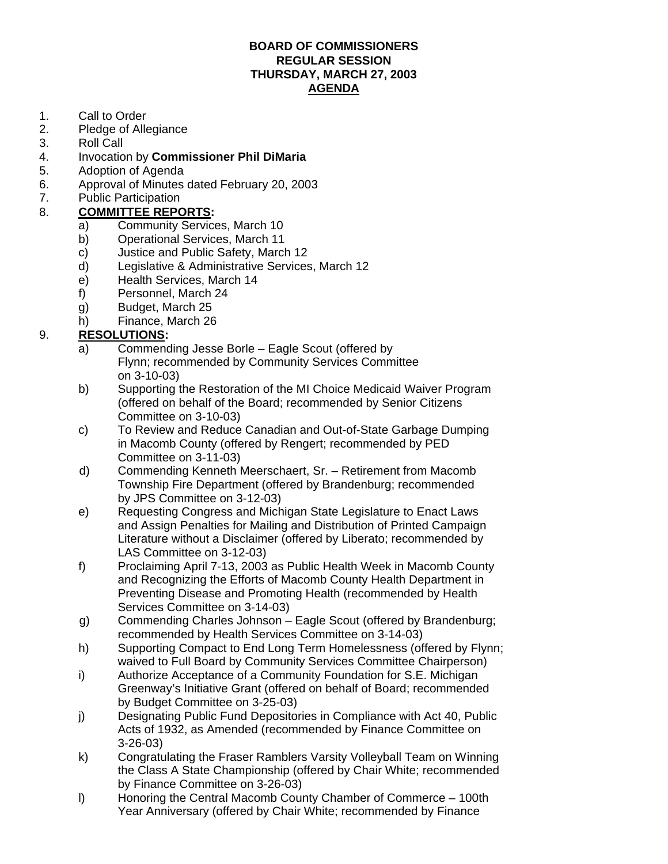#### **BOARD OF COMMISSIONERS REGULAR SESSION THURSDAY, MARCH 27, 2003 AGENDA**

- 1. Call to Order
- 2. Pledge of Allegiance
- 3. Roll Call
- 4. Invocation by **Commissioner Phil DiMaria**
- 5. Adoption of Agenda
- 6. Approval of Minutes dated February 20, 2003
- 7. Public Participation

### 8. **COMMITTEE REPORTS:**

- a) Community Services, March 10
- b) Operational Services, March 11
- c) Justice and Public Safety, March 12
- d) Legislative & Administrative Services, March 12
- e) Health Services, March 14
- f) Personnel, March 24
- g) Budget, March 25
- h) Finance, March 26

### 9. **RESOLUTIONS:**

- a) Commending Jesse Borle Eagle Scout (offered by Flynn; recommended by Community Services Committee on 3-10-03)
- b) Supporting the Restoration of the MI Choice Medicaid Waiver Program (offered on behalf of the Board; recommended by Senior Citizens Committee on 3-10-03)
- c) To Review and Reduce Canadian and Out-of-State Garbage Dumping in Macomb County (offered by Rengert; recommended by PED Committee on 3-11-03)
- d) Commending Kenneth Meerschaert, Sr. Retirement from Macomb Township Fire Department (offered by Brandenburg; recommended by JPS Committee on 3-12-03)
- e) Requesting Congress and Michigan State Legislature to Enact Laws and Assign Penalties for Mailing and Distribution of Printed Campaign Literature without a Disclaimer (offered by Liberato; recommended by LAS Committee on 3-12-03)
- f) Proclaiming April 7-13, 2003 as Public Health Week in Macomb County and Recognizing the Efforts of Macomb County Health Department in Preventing Disease and Promoting Health (recommended by Health Services Committee on 3-14-03)
- g) Commending Charles Johnson Eagle Scout (offered by Brandenburg; recommended by Health Services Committee on 3-14-03)
- h) Supporting Compact to End Long Term Homelessness (offered by Flynn; waived to Full Board by Community Services Committee Chairperson)
- i) Authorize Acceptance of a Community Foundation for S.E. Michigan Greenway's Initiative Grant (offered on behalf of Board; recommended by Budget Committee on 3-25-03)
- j) Designating Public Fund Depositories in Compliance with Act 40, Public Acts of 1932, as Amended (recommended by Finance Committee on 3-26-03)
- k) Congratulating the Fraser Ramblers Varsity Volleyball Team on Winning the Class A State Championship (offered by Chair White; recommended by Finance Committee on 3-26-03)
- l) Honoring the Central Macomb County Chamber of Commerce 100th Year Anniversary (offered by Chair White; recommended by Finance